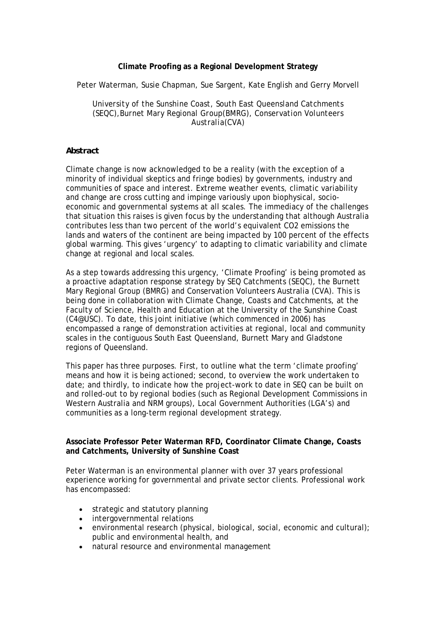## **Climate Proofing as a Regional Development Strategy**

Peter Waterman, Susie Chapman, Sue Sargent, Kate English and Gerry Morvell

*University of the Sunshine Coast, South East Queensland Catchments (SEQC),Burnet Mary Regional Group(BMRG), Conservation Volunteers Australia(CVA)* 

## *Abstract*

Climate change is now acknowledged to be a reality (with the exception of a minority of individual skeptics and fringe bodies) by governments, industry and communities of space and interest. Extreme weather events, climatic variability and change are cross cutting and impinge variously upon biophysical, socioeconomic and governmental systems at all scales. The immediacy of the challenges that situation this raises is given focus by the understanding that although Australia contributes less than two percent of the world's equivalent CO2 emissions the lands and waters of the continent are being impacted by 100 percent of the effects global warming. This gives 'urgency' to adapting to climatic variability and climate change at regional and local scales.

As a step towards addressing this urgency, 'Climate Proofing' is being promoted as a proactive adaptation response strategy by SEQ Catchments (SEQC), the Burnett Mary Regional Group (BMRG) and Conservation Volunteers Australia (CVA). This is being done in collaboration with Climate Change, Coasts and Catchments, at the Faculty of Science, Health and Education at the University of the Sunshine Coast (C4@USC). To date, this joint initiative (which commenced in 2006) has encompassed a range of demonstration activities at regional, local and community scales in the contiguous South East Queensland, Burnett Mary and Gladstone regions of Queensland.

This paper has three purposes. First, to outline what the term 'climate proofing' means and how it is being actioned; second, to overview the work undertaken to date; and thirdly, to indicate how the project-work to date in SEQ can be built on and rolled-out to by regional bodies (such as Regional Development Commissions in Western Australia and NRM groups), Local Government Authorities (LGA's) and communities as a long-term regional development strategy.

## **Associate Professor Peter Waterman RFD, Coordinator Climate Change, Coasts and Catchments, University of Sunshine Coast**

Peter Waterman is an environmental planner with over 37 years professional experience working for governmental and private sector clients. Professional work has encompassed:

- strategic and statutory planning
- intergovernmental relations
- environmental research (physical, biological, social, economic and cultural); public and environmental health, and
- natural resource and environmental management